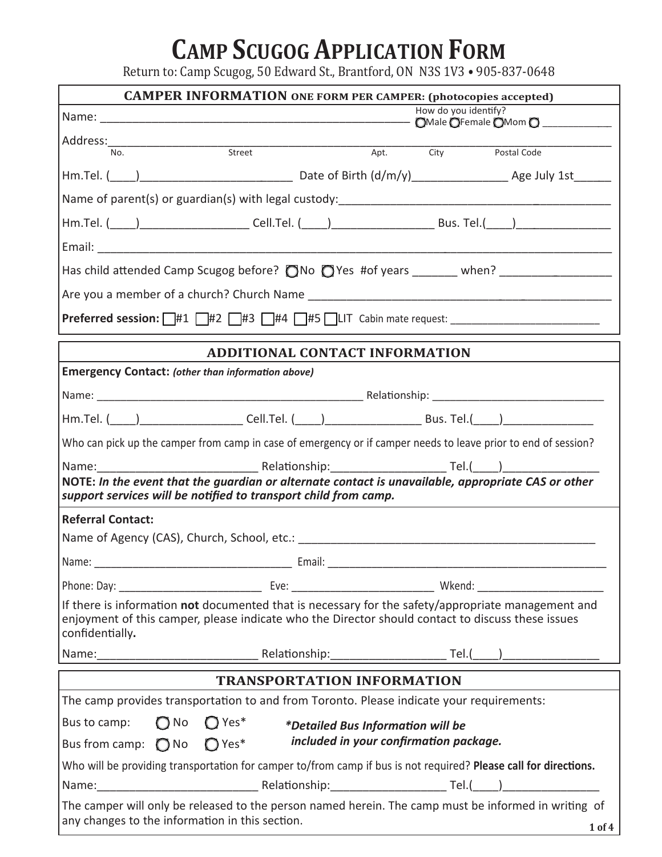# **CAMP SCUGOG APPLICATION FORM**

Return to: Camp Scugog, 50 Edward St., Brantford, ON N3S 1V3 • 905-837-0648

|                                                                                                                                                                                                                            | <b>CAMPER INFORMATION ONE FORM PER CAMPER: (photocopies accepted)</b> |  |                                          |                                                                                                                |
|----------------------------------------------------------------------------------------------------------------------------------------------------------------------------------------------------------------------------|-----------------------------------------------------------------------|--|------------------------------------------|----------------------------------------------------------------------------------------------------------------|
| How do you identify?                                                                                                                                                                                                       |                                                                       |  |                                          |                                                                                                                |
|                                                                                                                                                                                                                            |                                                                       |  |                                          |                                                                                                                |
| Address: No. Street                                                                                                                                                                                                        |                                                                       |  | Apt. City                                | Postal Code                                                                                                    |
|                                                                                                                                                                                                                            |                                                                       |  |                                          |                                                                                                                |
|                                                                                                                                                                                                                            |                                                                       |  |                                          |                                                                                                                |
|                                                                                                                                                                                                                            |                                                                       |  |                                          | Hm.Tel. (_____)________________________Cell.Tel. (_____)_________________________Bus. Tel.(_____)_____________ |
|                                                                                                                                                                                                                            |                                                                       |  |                                          |                                                                                                                |
|                                                                                                                                                                                                                            |                                                                       |  |                                          | Has child attended Camp Scugog before? ONo OYes #of years ______ when? ________________                        |
|                                                                                                                                                                                                                            |                                                                       |  |                                          |                                                                                                                |
| <b>Preferred session:</b> $\pi$ #1 $\pi$ #2 $\pi$ #3 $\pi$ #4 $\pi$ #5 $\pi$ LIT Cabin mate request: $\pi$                                                                                                                 |                                                                       |  |                                          |                                                                                                                |
|                                                                                                                                                                                                                            | <b>ADDITIONAL CONTACT INFORMATION</b>                                 |  |                                          |                                                                                                                |
| <b>Emergency Contact: (other than information above)</b>                                                                                                                                                                   |                                                                       |  |                                          |                                                                                                                |
|                                                                                                                                                                                                                            |                                                                       |  |                                          |                                                                                                                |
| Hm.Tel. ( ) ________________________Cell.Tel. ( ____) __________________________Bus. Tel.( ____) _____________                                                                                                             |                                                                       |  |                                          |                                                                                                                |
| Who can pick up the camper from camp in case of emergency or if camper needs to leave prior to end of session?                                                                                                             |                                                                       |  |                                          |                                                                                                                |
| Name:                                                                                                                                                                                                                      |                                                                       |  |                                          |                                                                                                                |
| NOTE: In the event that the guardian or alternate contact is unavailable, appropriate CAS or other<br>support services will be notified to transport child from camp.                                                      |                                                                       |  |                                          |                                                                                                                |
| <b>Referral Contact:</b>                                                                                                                                                                                                   |                                                                       |  |                                          |                                                                                                                |
|                                                                                                                                                                                                                            |                                                                       |  |                                          |                                                                                                                |
|                                                                                                                                                                                                                            |                                                                       |  |                                          |                                                                                                                |
|                                                                                                                                                                                                                            |                                                                       |  |                                          |                                                                                                                |
| If there is information not documented that is necessary for the safety/appropriate management and<br>enjoyment of this camper, please indicate who the Director should contact to discuss these issues<br>confidentially. |                                                                       |  |                                          |                                                                                                                |
|                                                                                                                                                                                                                            |                                                                       |  |                                          |                                                                                                                |
|                                                                                                                                                                                                                            | <b>TRANSPORTATION INFORMATION</b>                                     |  |                                          |                                                                                                                |
| The camp provides transportation to and from Toronto. Please indicate your requirements:                                                                                                                                   |                                                                       |  |                                          |                                                                                                                |
| Bus to camp:<br>$\bigcirc$ No                                                                                                                                                                                              | $\bigcirc$ Yes*                                                       |  | <i>*Detailed Bus Information will be</i> |                                                                                                                |
| Bus from camp: $\bigcirc$ No                                                                                                                                                                                               | $Q$ Yes <sup>*</sup>                                                  |  | included in your confirmation package.   |                                                                                                                |
| Who will be providing transportation for camper to/from camp if bus is not required? Please call for directions.                                                                                                           |                                                                       |  |                                          |                                                                                                                |
|                                                                                                                                                                                                                            |                                                                       |  |                                          |                                                                                                                |
| The camper will only be released to the person named herein. The camp must be informed in writing of<br>any changes to the information in this section.                                                                    |                                                                       |  |                                          | $1$ of $4$                                                                                                     |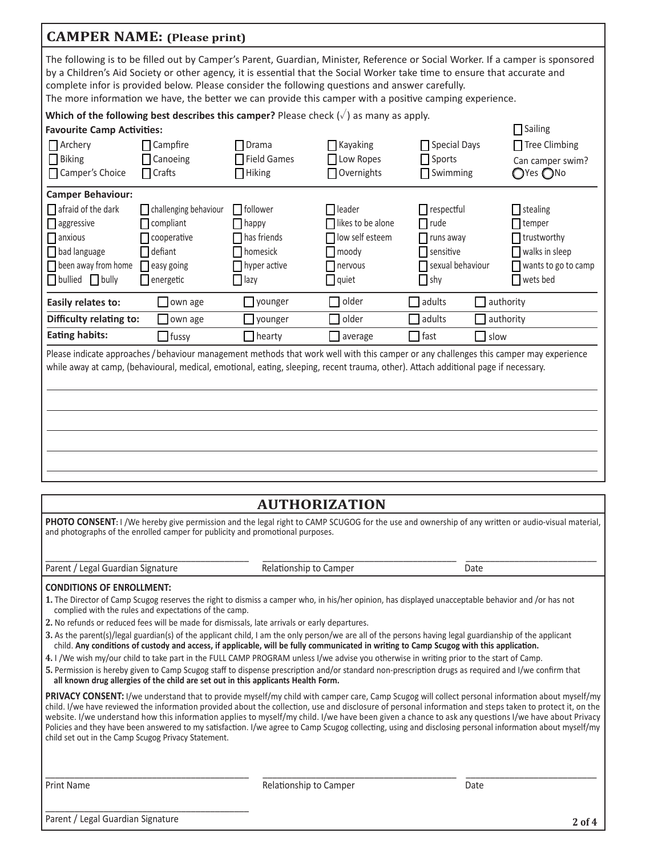|                                                                                                                                     | <b>CAMPER NAME:</b> (Please print)                                                              |                                                                                         |                                                                             |                                                                                                                                                                                                                                                                                                                                                                        |                                                                                                                                                   |
|-------------------------------------------------------------------------------------------------------------------------------------|-------------------------------------------------------------------------------------------------|-----------------------------------------------------------------------------------------|-----------------------------------------------------------------------------|------------------------------------------------------------------------------------------------------------------------------------------------------------------------------------------------------------------------------------------------------------------------------------------------------------------------------------------------------------------------|---------------------------------------------------------------------------------------------------------------------------------------------------|
|                                                                                                                                     | complete infor is provided below. Please consider the following questions and answer carefully. |                                                                                         |                                                                             | The following is to be filled out by Camper's Parent, Guardian, Minister, Reference or Social Worker. If a camper is sponsored<br>by a Children's Aid Society or other agency, it is essential that the Social Worker take time to ensure that accurate and<br>The more information we have, the better we can provide this camper with a positive camping experience. |                                                                                                                                                   |
|                                                                                                                                     | Which of the following best describes this camper? Please check $(\sqrt{})$ as many as apply.   |                                                                                         |                                                                             |                                                                                                                                                                                                                                                                                                                                                                        |                                                                                                                                                   |
| <b>Favourite Camp Activities:</b>                                                                                                   |                                                                                                 |                                                                                         |                                                                             |                                                                                                                                                                                                                                                                                                                                                                        | $\Box$ Sailing                                                                                                                                    |
| $\prod$ Archery<br>$\Box$ Biking<br>Camper's Choice                                                                                 | Campfire<br>Canoeing<br>$\prod$ Crafts                                                          | Drama<br>□ Field Games<br>$\Box$ Hiking                                                 | $\Box$ Kayaking<br>Low Ropes<br>Overnights                                  | □ Special Days<br>$\Box$ Sports<br>Swimming                                                                                                                                                                                                                                                                                                                            | Tree Climbing<br>Can camper swim?<br>$\bigcirc$ Yes $\bigcirc$ No                                                                                 |
| <b>Camper Behaviour:</b>                                                                                                            |                                                                                                 |                                                                                         |                                                                             |                                                                                                                                                                                                                                                                                                                                                                        |                                                                                                                                                   |
| $\Box$ afraid of the dark<br>$\Box$ aggressive<br>$\Box$ anxious<br>bad language<br>$\Box$ been away from home<br>□ bullied □ bully | challenging behaviour<br>compliant<br>cooperative<br>defiant<br>easy going<br>energetic         | $\Box$ follower<br>$\vert$   happy<br>has friends<br>homesick<br>hyper active<br>  lazy | leader<br>likes to be alone<br>low self esteem<br>moody<br>nervous<br>quiet | $\Box$ respectful<br>$\Box$ rude<br>$\Box$ runs away<br>$\blacksquare$ sensitive<br>sexual behaviour<br>$\Box$ shy                                                                                                                                                                                                                                                     | $\mathsf{\overline{\mathsf{I}}}$ stealing<br>$\Box$ temper<br>trustworthy<br>walks in sleep<br>wants to go to camp<br>wets bed                    |
| Easily relates to:                                                                                                                  | own age                                                                                         | younger                                                                                 | older                                                                       | $\Box$ authority<br>adults                                                                                                                                                                                                                                                                                                                                             |                                                                                                                                                   |
| Difficulty relating to:                                                                                                             | $\Box$ own age                                                                                  | younger                                                                                 | older                                                                       | adults                                                                                                                                                                                                                                                                                                                                                                 | authority                                                                                                                                         |
| <b>Eating habits:</b>                                                                                                               | $\Box$ fussy                                                                                    | $\Box$ hearty                                                                           | average                                                                     | fast<br>$\Box$ slow                                                                                                                                                                                                                                                                                                                                                    |                                                                                                                                                   |
|                                                                                                                                     |                                                                                                 |                                                                                         |                                                                             | Please indicate approaches/behaviour management methods that work well with this camper or any challenges this camper may experience<br>while away at camp, (behavioural, medical, emotional, eating, sleeping, recent trauma, other). Attach additional page if necessary.                                                                                            |                                                                                                                                                   |
| <b>AUTHORIZATION</b>                                                                                                                |                                                                                                 |                                                                                         |                                                                             |                                                                                                                                                                                                                                                                                                                                                                        |                                                                                                                                                   |
|                                                                                                                                     |                                                                                                 |                                                                                         |                                                                             |                                                                                                                                                                                                                                                                                                                                                                        | PHOTO CONSENT: I /We hereby give permission and the legal right to CAMP SCUGOG for the use and ownership of any written or audio-visual material, |
|                                                                                                                                     | and photographs of the enrolled camper for publicity and promotional purposes.                  |                                                                                         |                                                                             |                                                                                                                                                                                                                                                                                                                                                                        |                                                                                                                                                   |

Parent / Legal Guardian Signature and the state of Relationship to Camper and the Solid Date

| Relationship to Camper |  |  |
|------------------------|--|--|
|                        |  |  |

 $\_$  , and the set of the set of the set of the set of the set of the set of the set of the set of the set of the set of the set of the set of the set of the set of the set of the set of the set of the set of the set of th

#### **CONDITIONS OF ENROLLMENT:**

- 1. The Director of Camp Scugog reserves the right to dismiss a camper who, in his/her opinion, has displayed unacceptable behavior and /or has not complied with the rules and expectations of the camp.
- **2.** No refunds or reduced fees will be made for dismissals, late arrivals or early departures.
- 3. As the parent(s)/legal guardian(s) of the applicant child, I am the only person/we are all of the persons having legal guardianship of the applicant child. Any conditions of custody and access, if applicable, will be fully communicated in writing to Camp Scugog with this application.
- 4. I /We wish my/our child to take part in the FULL CAMP PROGRAM unless I/we advise you otherwise in writing prior to the start of Camp.
- 5. Permission is hereby given to Camp Scugog staff to dispense prescription and/or standard non-prescription drugs as required and I/we confirm that all known drug allergies of the child are set out in this applicants Health Form.

PRIVACY CONSENT: I/we understand that to provide myself/my child with camper care, Camp Scugog will collect personal information about myself/my child. I/we have reviewed the information provided about the collection, use and disclosure of personal information and steps taken to protect it, on the website. I/we understand how this information applies to myself/my child. I/we have been given a chance to ask any questions I/we have about Privacy Policies and they have been answered to my satisfaction. I/we agree to Camp Scugog collecting, using and disclosing personal information about myself/my child set out in the Camp Scugog Privacy Statement.

 $\_$  , and the set of the set of the set of the set of the set of the set of the set of the set of the set of the set of the set of the set of the set of the set of the set of the set of the set of the set of the set of th

Print Name **Solution Community Community Community** Relationship to Camper **Solution** Date

Parent / Legal Guardian Signature

\_\_\_\_\_\_\_\_\_\_\_\_\_\_\_\_\_\_\_\_\_\_\_\_\_\_\_\_\_\_\_\_\_\_\_\_\_\_\_\_\_\_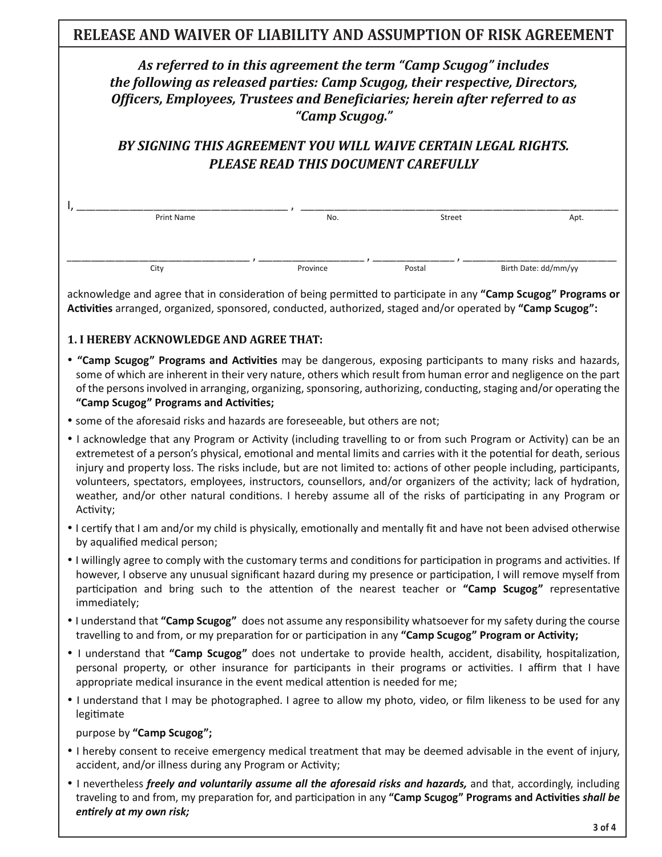# **RELEASE AND WAIVER OF LIABILITY AND ASSUMPTION OF RISK AGREEMENT**

## *As referred to in this agreement the term "Camp Scugog" includes the following as released parties: Camp Scugog, their respective, Directors,* Officers, Employees, Trustees and Beneficiaries; herein after referred to as *"Camp Scugog."*

# BY SIGNING THIS AGREEMENT YOU WILL WAIVE CERTAIN LEGAL RIGHTS. **PLEASE READ THIS DOCUMENT CAREFULLY**

| Print Name | No.      | Street | Apt.                 |
|------------|----------|--------|----------------------|
|            |          |        |                      |
|            |          |        |                      |
| City       | Province | Postal | Birth Date: dd/mm/yy |

acknowledge and agree that in consideration of being permitted to participate in any "Camp Scugog" Programs or **Activities** arranged, organized, sponsored, conducted, authorized, staged and/or operated by "Camp Scugog":

## **1. I HEREBY ACKNOWLEDGE AND AGREE THAT:**

- "Camp Scugog" Programs and Activities may be dangerous, exposing participants to many risks and hazards, some of which are inherent in their very nature, others which result from human error and negligence on the part of the persons involved in arranging, organizing, sponsoring, authorizing, conducting, staging and/or operating the "Camp Scugog" Programs and Activities;
- some of the aforesaid risks and hazards are foreseeable, but others are not;
- I acknowledge that any Program or Activity (including travelling to or from such Program or Activity) can be an extremetest of a person's physical, emotional and mental limits and carries with it the potential for death, serious injury and property loss. The risks include, but are not limited to: actions of other people including, participants, volunteers, spectators, employees, instructors, counsellors, and/or organizers of the activity; lack of hydration, weather, and/or other natural conditions. I hereby assume all of the risks of participating in any Program or Activity;
- Leertify that I am and/or my child is physically, emotionally and mentally fit and have not been advised otherwise by aqualified medical person;
- I willingly agree to comply with the customary terms and conditions for participation in programs and activities. If however, I observe any unusual significant hazard during my presence or participation, I will remove myself from participation and bring such to the attention of the nearest teacher or "Camp Scugog" representative immediately;
- I understand that "Camp Scugog" does not assume any responsibility whatsoever for my safety during the course travelling to and from, or my preparation for or participation in any "Camp Scugog" Program or Activity;
- I understand that "Camp Scugog" does not undertake to provide health, accident, disability, hospitalization, personal property, or other insurance for participants in their programs or activities. I affirm that I have appropriate medical insurance in the event medical attention is needed for me;
- I understand that I may be photographed. I agree to allow my photo, video, or film likeness to be used for any legitimate

purpose by "Camp Scugog";

- I hereby consent to receive emergency medical treatment that may be deemed advisable in the event of injury, accident, and/or illness during any Program or Activity;
- I nevertheless *freely and voluntarily assume all the aforesaid risks and hazards*, and that, accordingly, including traveling to and from, my preparation for, and participation in any "Camp Scugog" Programs and Activities shall be *entirely at my own risk;*